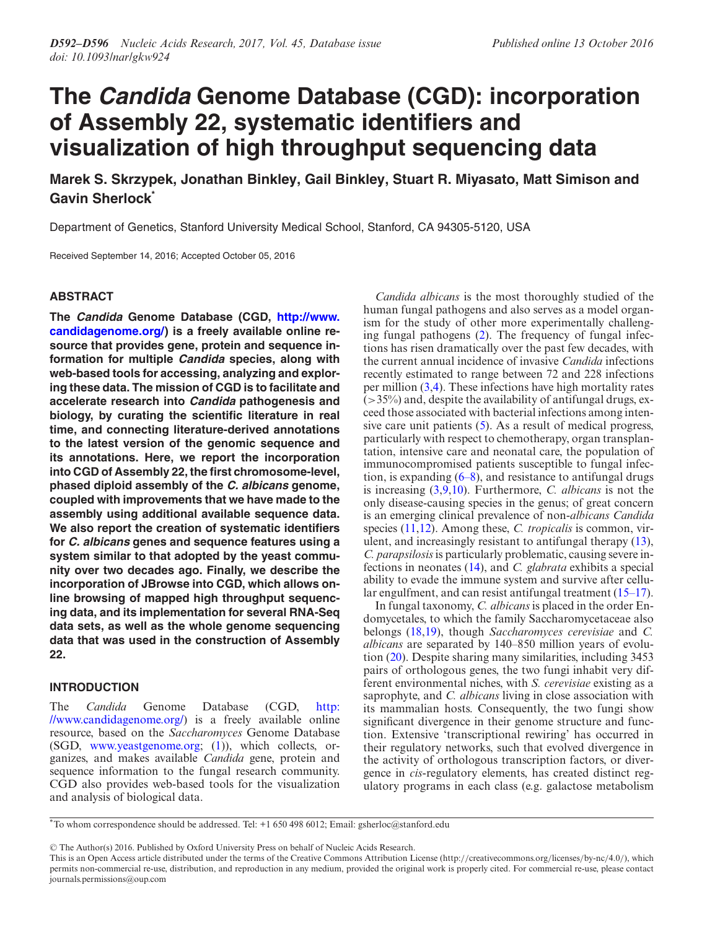# **The Candida Genome Database (CGD): incorporation of Assembly 22, systematic identifiers and visualization of high throughput sequencing data**

**Marek S. Skrzypek, Jonathan Binkley, Gail Binkley, Stuart R. Miyasato, Matt Simison and Gavin Sherlock\***

Department of Genetics, Stanford University Medical School, Stanford, CA 94305-5120, USA

Received September 14, 2016; Accepted October 05, 2016

## **ABSTRACT**

**The Candida Genome Database (CGD, http://www. [candidagenome.org/\) is a freely available online re](http://www.candidagenome.org/)source that provides gene, protein and sequence information for multiple Candida species, along with web-based tools for accessing, analyzing and exploring these data. The mission of CGD is to facilitate and accelerate research into Candida pathogenesis and biology, by curating the scientific literature in real time, and connecting literature-derived annotations to the latest version of the genomic sequence and its annotations. Here, we report the incorporation into CGD of Assembly 22, the first chromosome-level, phased diploid assembly of the C. albicans genome, coupled with improvements that we have made to the assembly using additional available sequence data. We also report the creation of systematic identifiers for C. albicans genes and sequence features using a system similar to that adopted by the yeast community over two decades ago. Finally, we describe the incorporation of JBrowse into CGD, which allows online browsing of mapped high throughput sequencing data, and its implementation for several RNA-Seq data sets, as well as the whole genome sequencing data that was used in the construction of Assembly 22.**

## **INTRODUCTION**

The *Candida* Genome Database (CGD, http: [//www.candidagenome.org/\) is a freely available online](http://www.candidagenome.org/) resource, based on the *Saccharomyces* Genome Database (SGD, [www.yeastgenome.org;](http://www.yeastgenome.org) [\(1\)](#page-3-0)), which collects, organizes, and makes available *Candida* gene, protein and sequence information to the fungal research community. CGD also provides web-based tools for the visualization and analysis of biological data.

*Candida albicans* is the most thoroughly studied of the human fungal pathogens and also serves as a model organism for the study of other more experimentally challenging fungal pathogens [\(2\)](#page-3-0). The frequency of fungal infections has risen dramatically over the past few decades, with the current annual incidence of invasive *Candida* infections recently estimated to range between 72 and 228 infections per million  $(3,4)$ . These infections have high mortality rates  $($  > 35%) and, despite the availability of antifungal drugs, exceed those associated with bacterial infections among intensive care unit patients  $(5)$ . As a result of medical progress, particularly with respect to chemotherapy, organ transplantation, intensive care and neonatal care, the population of immunocompromised patients susceptible to fungal infection, is expanding [\(6–8\)](#page-3-0), and resistance to antifungal drugs is increasing [\(3,9,10\)](#page-3-0). Furthermore, *C. albicans* is not the only disease-causing species in the genus; of great concern is an emerging clinical prevalence of non-*albicans Candida* species [\(11,12\)](#page-3-0). Among these, *C. tropicalis* is common, virulent, and increasingly resistant to antifungal therapy [\(13\)](#page-3-0), *C. parapsilosis*is particularly problematic, causing severe infections in neonates [\(14\)](#page-3-0), and *C. glabrata* exhibits a special ability to evade the immune system and survive after cellular engulfment, and can resist antifungal treatment [\(15–17\)](#page-4-0).

In fungal taxonomy, *C. albicans* is placed in the order Endomycetales, to which the family Saccharomycetaceae also belongs [\(18,19\)](#page-4-0), though *Saccharomyces cerevisiae* and *C. albicans* are separated by 140–850 million years of evolution [\(20\)](#page-4-0). Despite sharing many similarities, including 3453 pairs of orthologous genes, the two fungi inhabit very different environmental niches, with *S. cerevisiae* existing as a saprophyte, and *C. albicans* living in close association with its mammalian hosts. Consequently, the two fungi show significant divergence in their genome structure and function. Extensive 'transcriptional rewiring' has occurred in their regulatory networks, such that evolved divergence in the activity of orthologous transcription factors, or divergence in *cis*-regulatory elements, has created distinct regulatory programs in each class (e.g. galactose metabolism

-<sup>C</sup> The Author(s) 2016. Published by Oxford University Press on behalf of Nucleic Acids Research.

<sup>\*</sup>To whom correspondence should be addressed. Tel: +1 650 498 6012; Email: gsherloc@stanford.edu

This is an Open Access article distributed under the terms of the Creative Commons Attribution License (http://creativecommons.org/licenses/by-nc/4.0/), which permits non-commercial re-use, distribution, and reproduction in any medium, provided the original work is properly cited. For commercial re-use, please contact journals.permissions@oup.com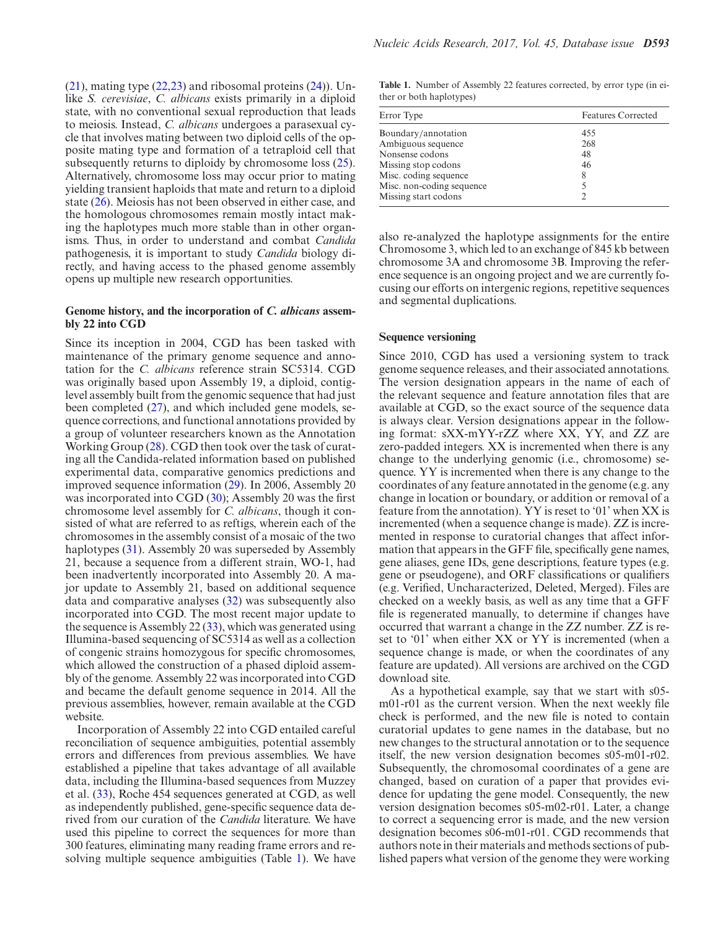[\(21\)](#page-4-0), mating type [\(22,23\)](#page-4-0) and ribosomal proteins [\(24\)](#page-4-0)). Unlike *S. cerevisiae*, *C. albicans* exists primarily in a diploid state, with no conventional sexual reproduction that leads to meiosis. Instead, *C. albicans* undergoes a parasexual cycle that involves mating between two diploid cells of the opposite mating type and formation of a tetraploid cell that subsequently returns to diploidy by chromosome loss  $(25)$ . Alternatively, chromosome loss may occur prior to mating yielding transient haploids that mate and return to a diploid state [\(26\)](#page-4-0). Meiosis has not been observed in either case, and the homologous chromosomes remain mostly intact making the haplotypes much more stable than in other organisms. Thus, in order to understand and combat *Candida* pathogenesis, it is important to study *Candida* biology directly, and having access to the phased genome assembly opens up multiple new research opportunities.

### **Genome history, and the incorporation of** *C. albicans* **assembly 22 into CGD**

Since its inception in 2004, CGD has been tasked with maintenance of the primary genome sequence and annotation for the *C. albicans* reference strain SC5314. CGD was originally based upon Assembly 19, a diploid, contiglevel assembly built from the genomic sequence that had just been completed [\(27\)](#page-4-0), and which included gene models, sequence corrections, and functional annotations provided by a group of volunteer researchers known as the Annotation Working Group [\(28\)](#page-4-0). CGD then took over the task of curating all the Candida-related information based on published experimental data, comparative genomics predictions and improved sequence information [\(29\)](#page-4-0). In 2006, Assembly 20 was incorporated into CGD [\(30\)](#page-4-0); Assembly 20 was the first chromosome level assembly for *C. albicans*, though it consisted of what are referred to as reftigs, wherein each of the chromosomes in the assembly consist of a mosaic of the two haplotypes [\(31\)](#page-4-0). Assembly 20 was superseded by Assembly 21, because a sequence from a different strain, WO-1, had been inadvertently incorporated into Assembly 20. A major update to Assembly 21, based on additional sequence data and comparative analyses [\(32\)](#page-4-0) was subsequently also incorporated into CGD. The most recent major update to the sequence is Assembly 22  $(33)$ , which was generated using Illumina-based sequencing of SC5314 as well as a collection of congenic strains homozygous for specific chromosomes, which allowed the construction of a phased diploid assembly of the genome. Assembly 22 was incorporated into CGD and became the default genome sequence in 2014. All the previous assemblies, however, remain available at the CGD website.

Incorporation of Assembly 22 into CGD entailed careful reconciliation of sequence ambiguities, potential assembly errors and differences from previous assemblies. We have established a pipeline that takes advantage of all available data, including the Illumina-based sequences from Muzzey et al. [\(33\)](#page-4-0), Roche 454 sequences generated at CGD, as well as independently published, gene-specific sequence data derived from our curation of the *Candida* literature. We have used this pipeline to correct the sequences for more than 300 features, eliminating many reading frame errors and resolving multiple sequence ambiguities (Table 1). We have

**Table 1.** Number of Assembly 22 features corrected, by error type (in either or both haplotypes)

| Error Type                | <b>Features Corrected</b> |
|---------------------------|---------------------------|
| Boundary/annotation       | 455                       |
| Ambiguous sequence        | 268                       |
| Nonsense codons           | 48                        |
| Missing stop codons       | 46                        |
| Misc. coding sequence     | 8                         |
| Misc. non-coding sequence |                           |
| Missing start codons      |                           |

also re-analyzed the haplotype assignments for the entire Chromosome 3, which led to an exchange of 845 kb between chromosome 3A and chromosome 3B. Improving the reference sequence is an ongoing project and we are currently focusing our efforts on intergenic regions, repetitive sequences and segmental duplications.

#### **Sequence versioning**

Since 2010, CGD has used a versioning system to track genome sequence releases, and their associated annotations. The version designation appears in the name of each of the relevant sequence and feature annotation files that are available at CGD, so the exact source of the sequence data is always clear. Version designations appear in the following format: sXX-mYY-rZZ where XX, YY, and ZZ are zero-padded integers. XX is incremented when there is any change to the underlying genomic (i.e., chromosome) sequence. YY is incremented when there is any change to the coordinates of any feature annotated in the genome (e.g. any change in location or boundary, or addition or removal of a feature from the annotation). YY is reset to '01' when XX is incremented (when a sequence change is made). ZZ is incremented in response to curatorial changes that affect information that appears in the GFF file, specifically gene names, gene aliases, gene IDs, gene descriptions, feature types (e.g. gene or pseudogene), and ORF classifications or qualifiers (e.g. Verified, Uncharacterized, Deleted, Merged). Files are checked on a weekly basis, as well as any time that a GFF file is regenerated manually, to determine if changes have occurred that warrant a change in the ZZ number. ZZ is reset to '01' when either XX or YY is incremented (when a sequence change is made, or when the coordinates of any feature are updated). All versions are archived on the CGD download site.

As a hypothetical example, say that we start with s05 m01-r01 as the current version. When the next weekly file check is performed, and the new file is noted to contain curatorial updates to gene names in the database, but no new changes to the structural annotation or to the sequence itself, the new version designation becomes s05-m01-r02. Subsequently, the chromosomal coordinates of a gene are changed, based on curation of a paper that provides evidence for updating the gene model. Consequently, the new version designation becomes s05-m02-r01. Later, a change to correct a sequencing error is made, and the new version designation becomes s06-m01-r01. CGD recommends that authors note in their materials and methods sections of published papers what version of the genome they were working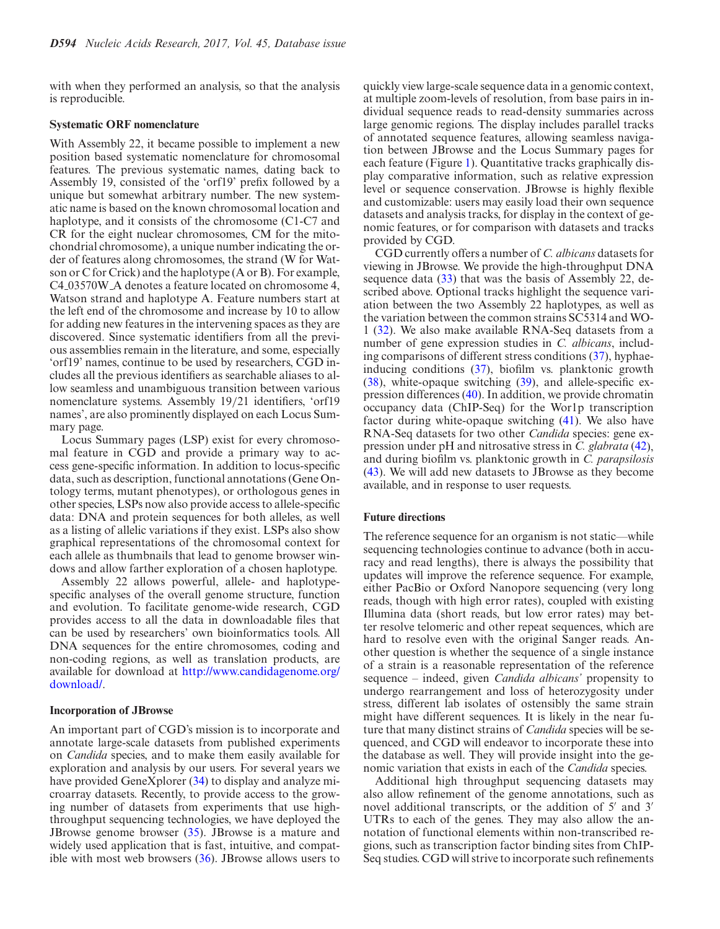with when they performed an analysis, so that the analysis is reproducible.

#### **Systematic ORF nomenclature**

With Assembly 22, it became possible to implement a new position based systematic nomenclature for chromosomal features. The previous systematic names, dating back to Assembly 19, consisted of the 'orf19' prefix followed by a unique but somewhat arbitrary number. The new systematic name is based on the known chromosomal location and haplotype, and it consists of the chromosome (C1-C7 and CR for the eight nuclear chromosomes, CM for the mitochondrial chromosome), a unique number indicating the order of features along chromosomes, the strand (W for Watson or C for Crick) and the haplotype (A or B). For example, C4 03570W A denotes a feature located on chromosome 4, Watson strand and haplotype A. Feature numbers start at the left end of the chromosome and increase by 10 to allow for adding new features in the intervening spaces as they are discovered. Since systematic identifiers from all the previous assemblies remain in the literature, and some, especially 'orf19' names, continue to be used by researchers, CGD includes all the previous identifiers as searchable aliases to allow seamless and unambiguous transition between various nomenclature systems. Assembly 19/21 identifiers, 'orf19 names', are also prominently displayed on each Locus Summary page.

Locus Summary pages (LSP) exist for every chromosomal feature in CGD and provide a primary way to access gene-specific information. In addition to locus-specific data, such as description, functional annotations (Gene Ontology terms, mutant phenotypes), or orthologous genes in other species, LSPs now also provide access to allele-specific data: DNA and protein sequences for both alleles, as well as a listing of allelic variations if they exist. LSPs also show graphical representations of the chromosomal context for each allele as thumbnails that lead to genome browser windows and allow farther exploration of a chosen haplotype.

Assembly 22 allows powerful, allele- and haplotypespecific analyses of the overall genome structure, function and evolution. To facilitate genome-wide research, CGD provides access to all the data in downloadable files that can be used by researchers' own bioinformatics tools. All DNA sequences for the entire chromosomes, coding and non-coding regions, as well as translation products, are available for download at [http://www.candidagenome.org/](http://www.candidagenome.org/download/) download/.

### **Incorporation of JBrowse**

An important part of CGD's mission is to incorporate and annotate large-scale datasets from published experiments on *Candida* species, and to make them easily available for exploration and analysis by our users. For several years we have provided GeneXplorer [\(34\)](#page-4-0) to display and analyze microarray datasets. Recently, to provide access to the growing number of datasets from experiments that use highthroughput sequencing technologies, we have deployed the JBrowse genome browser [\(35\)](#page-4-0). JBrowse is a mature and widely used application that is fast, intuitive, and compatible with most web browsers [\(36\)](#page-4-0). JBrowse allows users to

quickly view large-scale sequence data in a genomic context, at multiple zoom-levels of resolution, from base pairs in individual sequence reads to read-density summaries across large genomic regions. The display includes parallel tracks of annotated sequence features, allowing seamless navigation between JBrowse and the Locus Summary pages for each feature (Figure [1\)](#page-3-0). Quantitative tracks graphically display comparative information, such as relative expression level or sequence conservation. JBrowse is highly flexible and customizable: users may easily load their own sequence datasets and analysis tracks, for display in the context of genomic features, or for comparison with datasets and tracks provided by CGD.

CGD currently offers a number of *C. albicans* datasets for viewing in JBrowse. We provide the high-throughput DNA sequence data [\(33\)](#page-4-0) that was the basis of Assembly 22, described above. Optional tracks highlight the sequence variation between the two Assembly 22 haplotypes, as well as the variation between the common strains SC5314 and WO-1 [\(32\)](#page-4-0). We also make available RNA-Seq datasets from a number of gene expression studies in *C. albicans*, including comparisons of different stress conditions [\(37\)](#page-4-0), hyphaeinducing conditions [\(37\)](#page-4-0), biofilm vs. planktonic growth [\(38\)](#page-4-0), white-opaque switching [\(39\)](#page-4-0), and allele-specific expression differences [\(40\)](#page-4-0). In addition, we provide chromatin occupancy data (ChIP-Seq) for the Wor1p transcription factor during white-opaque switching [\(41\)](#page-4-0). We also have RNA-Seq datasets for two other *Candida* species: gene expression under pH and nitrosative stress in *C. glabrata* [\(42\)](#page-4-0), and during biofilm vs. planktonic growth in *C. parapsilosis* [\(43\)](#page-4-0). We will add new datasets to JBrowse as they become available, and in response to user requests.

#### **Future directions**

The reference sequence for an organism is not static––while sequencing technologies continue to advance (both in accuracy and read lengths), there is always the possibility that updates will improve the reference sequence. For example, either PacBio or Oxford Nanopore sequencing (very long reads, though with high error rates), coupled with existing Illumina data (short reads, but low error rates) may better resolve telomeric and other repeat sequences, which are hard to resolve even with the original Sanger reads. Another question is whether the sequence of a single instance of a strain is a reasonable representation of the reference sequence – indeed, given *Candida albicans'* propensity to undergo rearrangement and loss of heterozygosity under stress, different lab isolates of ostensibly the same strain might have different sequences. It is likely in the near future that many distinct strains of *Candida* species will be sequenced, and CGD will endeavor to incorporate these into the database as well. They will provide insight into the genomic variation that exists in each of the *Candida* species.

Additional high throughput sequencing datasets may also allow refinement of the genome annotations, such as novel additional transcripts, or the addition of  $5'$  and  $3'$ UTRs to each of the genes. They may also allow the annotation of functional elements within non-transcribed regions, such as transcription factor binding sites from ChIP-Seq studies. CGD will strive to incorporate such refinements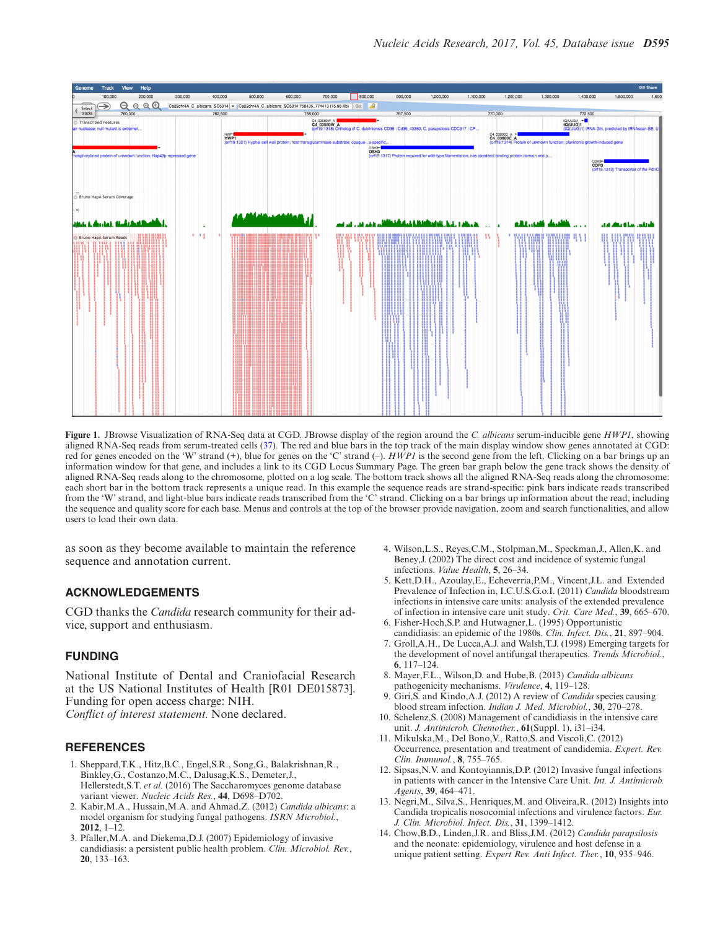<span id="page-3-0"></span>

**Figure 1.** JBrowse Visualization of RNA-Seq data at CGD. JBrowse display of the region around the *C. albicans* serum-inducible gene *HWP1*, showing aligned RNA-Seq reads from serum-treated cells [\(37\)](#page-4-0). The red and blue bars in the top track of the main display window show genes annotated at CGD: red for genes encoded on the 'W' strand (+), blue for genes on the 'C' strand (–). *HWP1* is the second gene from the left. Clicking on a bar brings up an information window for that gene, and includes a link to its CGD Locus Summary Page. The green bar graph below the gene track shows the density of aligned RNA-Seq reads along to the chromosome, plotted on a log scale. The bottom track shows all the aligned RNA-Seq reads along the chromosome: each short bar in the bottom track represents a unique read. In this example the sequence reads are strand-specific: pink bars indicate reads transcribed from the 'W' strand, and light-blue bars indicate reads transcribed from the 'C' strand. Clicking on a bar brings up information about the read, including the sequence and quality score for each base. Menus and controls at the top of the browser provide navigation, zoom and search functionalities, and allow users to load their own data.

as soon as they become available to maintain the reference sequence and annotation current.

# **ACKNOWLEDGEMENTS**

CGD thanks the *Candida* research community for their advice, support and enthusiasm.

## **FUNDING**

National Institute of Dental and Craniofacial Research at the US National Institutes of Health [R01 DE015873]. Funding for open access charge: NIH. *Conflict of interest statement.* None declared.

## **REFERENCES**

- 1. Sheppard,T.K., Hitz,B.C., Engel,S.R., Song,G., Balakrishnan,R., Binkley,G., Costanzo,M.C., Dalusag,K.S., Demeter,J., Hellerstedt,S.T. *et al.* (2016) The Saccharomyces genome database variant viewer. *Nucleic Acids Res.*, **44**, D698–D702.
- 2. Kabir,M.A., Hussain,M.A. and Ahmad,Z. (2012) *Candida albicans*: a model organism for studying fungal pathogens. *ISRN Microbiol.*, **2012**, 1–12.
- 3. Pfaller,M.A. and Diekema,D.J. (2007) Epidemiology of invasive candidiasis: a persistent public health problem. *Clin. Microbiol. Rev.*, **20**, 133–163.
- 4. Wilson,L.S., Reyes,C.M., Stolpman,M., Speckman,J., Allen,K. and Beney,J. (2002) The direct cost and incidence of systemic fungal infections. *Value Health*, **5**, 26–34.
- 5. Kett,D.H., Azoulay,E., Echeverria,P.M., Vincent,J.L. and Extended Prevalence of Infection in, I.C.U.S.G.o.I. (2011) *Candida* bloodstream infections in intensive care units: analysis of the extended prevalence of infection in intensive care unit study. *Crit. Care Med.*, **39**, 665–670.
- 6. Fisher-Hoch,S.P. and Hutwagner,L. (1995) Opportunistic candidiasis: an epidemic of the 1980s. *Clin. Infect. Dis.*, **21**, 897–904.
- 7. Groll,A.H., De Lucca,A.J. and Walsh,T.J. (1998) Emerging targets for the development of novel antifungal therapeutics. *Trends Microbiol.*, **6**, 117–124.
- 8. Mayer,F.L., Wilson,D. and Hube,B. (2013) *Candida albicans* pathogenicity mechanisms. *Virulence*, **4**, 119–128.
- 9. Giri,S. and Kindo,A.J. (2012) A review of *Candida* species causing blood stream infection. *Indian J. Med. Microbiol.*, **30**, 270–278.
- 10. Schelenz,S. (2008) Management of candidiasis in the intensive care unit. *J. Antimicrob. Chemother.*, **61**(Suppl. 1), i31–i34.
- 11. Mikulska,M., Del Bono,V., Ratto,S. and Viscoli,C. (2012) Occurrence, presentation and treatment of candidemia. *Expert. Rev. Clin. Immunol.*, **8**, 755–765.
- 12. Sipsas,N.V. and Kontoyiannis,D.P. (2012) Invasive fungal infections in patients with cancer in the Intensive Care Unit. *Int. J. Antimicrob. Agents*, **39**, 464–471.
- 13. Negri,M., Silva,S., Henriques,M. and Oliveira,R. (2012) Insights into Candida tropicalis nosocomial infections and virulence factors. *Eur. J. Clin. Microbiol. Infect. Dis.*, **31**, 1399–1412.
- 14. Chow,B.D., Linden,J.R. and Bliss,J.M. (2012) *Candida parapsilosis* and the neonate: epidemiology, virulence and host defense in a unique patient setting. *Expert Rev. Anti Infect. Ther.*, **10**, 935–946.